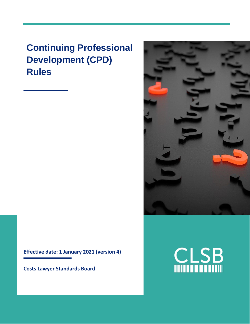# **Continuing Professional Development (CPD) Rules**

**Effective date: 1 January 2021 (version 4)**

**Costs Lawyer Standards Board**



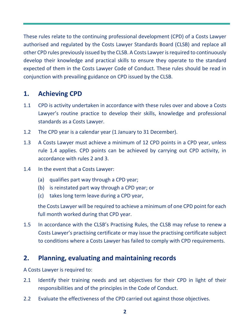These rules relate to the continuing professional development (CPD) of a Costs Lawyer authorised and regulated by the Costs Lawyer Standards Board (CLSB) and replace all other CPD rules previously issued by the CLSB. A Costs Lawyer is required to continuously develop their knowledge and practical skills to ensure they operate to the standard expected of them in the Costs Lawyer Code of Conduct. These rules should be read in conjunction with prevailing guidance on CPD issued by the CLSB.

### **1. Achieving CPD**

- 1.1 CPD is activity undertaken in accordance with these rules over and above a Costs Lawyer's routine practice to develop their skills, knowledge and professional standards as a Costs Lawyer.
- 1.2 The CPD year is a calendar year (1 January to 31 December).
- 1.3 A Costs Lawyer must achieve a minimum of 12 CPD points in a CPD year, unless rule 1.4 applies. CPD points can be achieved by carrying out CPD activity, in accordance with rules 2 and 3.
- 1.4 In the event that a Costs Lawyer:
	- (a) qualifies part way through a CPD year;
	- (b) is reinstated part way through a CPD year; or
	- (c) takes long term leave during a CPD year,

the Costs Lawyer will be required to achieve a minimum of one CPD point for each full month worked during that CPD year.

1.5 In accordance with the CLSB's Practising Rules, the CLSB may refuse to renew a Costs Lawyer's practising certificate or may issue the practising certificate subject to conditions where a Costs Lawyer has failed to comply with CPD requirements.

## **2. Planning, evaluating and maintaining records**

A Costs Lawyer is required to:

- 2.1 Identify their training needs and set objectives for their CPD in light of their responsibilities and of the principles in the Code of Conduct.
- 2.2 Evaluate the effectiveness of the CPD carried out against those objectives.